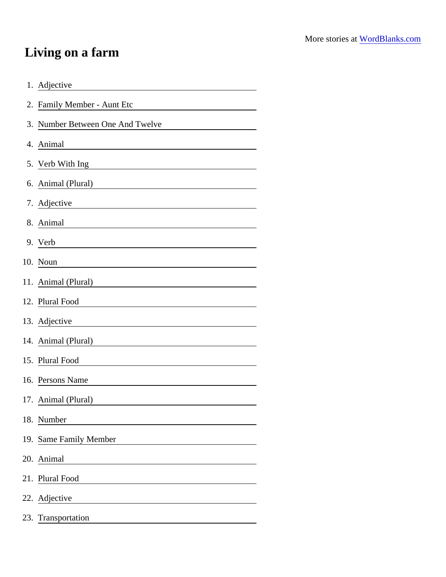## Living on a farm

| 1. Adjective                                                                                                                         |
|--------------------------------------------------------------------------------------------------------------------------------------|
| 2. Family Member - Aunt Etc                                                                                                          |
| 3. Number Between One And Twelve                                                                                                     |
| 4. Animal                                                                                                                            |
| 5. Verb With Ing                                                                                                                     |
|                                                                                                                                      |
| 7. Adjective                                                                                                                         |
| 8. Animal                                                                                                                            |
| 9. Verb                                                                                                                              |
| 10. Noun<br><u> 1980 - Andrea Station Barbara, amerikan per</u>                                                                      |
| 11. Animal (Plural) ______________________________                                                                                   |
| 12. Plural Food                                                                                                                      |
| 13. Adjective                                                                                                                        |
| 14. Animal (Plural)                                                                                                                  |
| 15. Plural Food                                                                                                                      |
| 16. Persons Name                                                                                                                     |
| 17. Animal (Plural)                                                                                                                  |
| 18. Number                                                                                                                           |
| 19. Same Family Member                                                                                                               |
| 20. Animal<br><u> 1989 - Jan Barbara Barat, prima popular popular popular popular popular popular popular popular popular popula</u> |
| 21. Plural Food                                                                                                                      |
| 22. Adjective                                                                                                                        |
| 23. Transportation                                                                                                                   |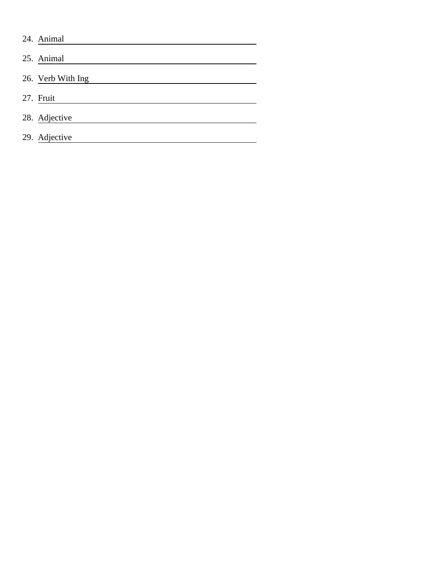| 24. Animal        |
|-------------------|
| 25. Animal        |
| 26. Verb With Ing |
| 27. Fruit         |
| 28. Adjective     |
| 29. Adjective     |